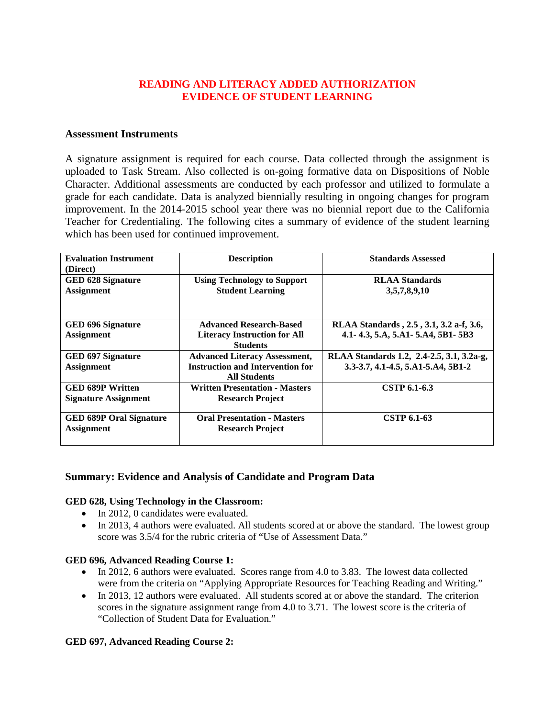# **READING AND LITERACY ADDED AUTHORIZATION EVIDENCE OF STUDENT LEARNING**

### **Assessment Instruments**

A signature assignment is required for each course. Data collected through the assignment is uploaded to Task Stream. Also collected is on-going formative data on Dispositions of Noble Character. Additional assessments are conducted by each professor and utilized to formulate a grade for each candidate. Data is analyzed biennially resulting in ongoing changes for program improvement. In the 2014-2015 school year there was no biennial report due to the California Teacher for Credentialing. The following cites a summary of evidence of the student learning which has been used for continued improvement.

| <b>Evaluation Instrument</b><br>(Direct)               | <b>Description</b>                                                                                     | <b>Standards Assessed</b>                                                       |
|--------------------------------------------------------|--------------------------------------------------------------------------------------------------------|---------------------------------------------------------------------------------|
| <b>GED 628 Signature</b><br><b>Assignment</b>          | <b>Using Technology to Support</b><br><b>Student Learning</b>                                          | <b>RLAA Standards</b><br>3,5,7,8,9,10                                           |
| <b>GED 696 Signature</b><br><b>Assignment</b>          | <b>Advanced Research-Based</b><br><b>Literacy Instruction for All</b><br><b>Students</b>               | RLAA Standards, 2.5, 3.1, 3.2 a-f, 3.6,<br>4.1-4.3, 5.A, 5.A1-5.A4, 5B1-5B3     |
| <b>GED 697 Signature</b><br><b>Assignment</b>          | <b>Advanced Literacy Assessment,</b><br><b>Instruction and Intervention for</b><br><b>All Students</b> | RLAA Standards 1.2, 2.4-2.5, 3.1, 3.2a-g,<br>3.3-3.7, 4.1-4.5, 5.A1-5.A4, 5B1-2 |
| <b>GED 689P Written</b><br><b>Signature Assignment</b> | <b>Written Presentation - Masters</b><br><b>Research Project</b>                                       | CSTP 6.1-6.3                                                                    |
| <b>GED 689P Oral Signature</b><br><b>Assignment</b>    | <b>Oral Presentation - Masters</b><br><b>Research Project</b>                                          | <b>CSTP 6.1-63</b>                                                              |

## **Summary: Evidence and Analysis of Candidate and Program Data**

#### **GED 628, Using Technology in the Classroom:**

- In 2012, 0 candidates were evaluated.
- In 2013, 4 authors were evaluated. All students scored at or above the standard. The lowest group score was 3.5/4 for the rubric criteria of "Use of Assessment Data."

#### **GED 696, Advanced Reading Course 1:**

- In 2012, 6 authors were evaluated. Scores range from 4.0 to 3.83. The lowest data collected were from the criteria on "Applying Appropriate Resources for Teaching Reading and Writing."
- In 2013, 12 authors were evaluated. All students scored at or above the standard. The criterion scores in the signature assignment range from 4.0 to 3.71. The lowest score is the criteria of "Collection of Student Data for Evaluation."

#### **GED 697, Advanced Reading Course 2:**